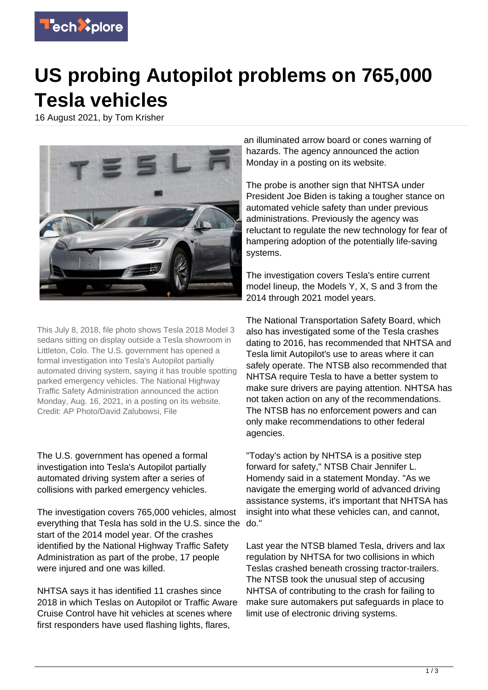

## **US probing Autopilot problems on 765,000 Tesla vehicles**

16 August 2021, by Tom Krisher



This July 8, 2018, file photo shows Tesla 2018 Model 3 sedans sitting on display outside a Tesla showroom in Littleton, Colo. The U.S. government has opened a formal investigation into Tesla's Autopilot partially automated driving system, saying it has trouble spotting parked emergency vehicles. The National Highway Traffic Safety Administration announced the action Monday, Aug. 16, 2021, in a posting on its website. Credit: AP Photo/David Zalubowsi, File

The U.S. government has opened a formal investigation into Tesla's Autopilot partially automated driving system after a series of collisions with parked emergency vehicles.

The investigation covers 765,000 vehicles, almost everything that Tesla has sold in the U.S. since the start of the 2014 model year. Of the crashes identified by the National Highway Traffic Safety Administration as part of the probe, 17 people were injured and one was killed.

NHTSA says it has identified 11 crashes since 2018 in which Teslas on Autopilot or Traffic Aware Cruise Control have hit vehicles at scenes where first responders have used flashing lights, flares,

an illuminated arrow board or cones warning of hazards. The agency announced the action Monday in a posting on its website.

The probe is another sign that NHTSA under President Joe Biden is taking a tougher stance on automated vehicle safety than under previous administrations. Previously the agency was reluctant to regulate the new technology for fear of hampering adoption of the potentially life-saving systems.

The investigation covers Tesla's entire current model lineup, the Models Y, X, S and 3 from the 2014 through 2021 model years.

The National Transportation Safety Board, which also has investigated some of the Tesla crashes dating to 2016, has recommended that NHTSA and Tesla limit Autopilot's use to areas where it can safely operate. The NTSB also recommended that NHTSA require Tesla to have a better system to make sure drivers are paying attention. NHTSA has not taken action on any of the recommendations. The NTSB has no enforcement powers and can only make recommendations to other federal agencies.

"Today's action by NHTSA is a positive step forward for safety," NTSB Chair Jennifer L. Homendy said in a statement Monday. "As we navigate the emerging world of advanced driving assistance systems, it's important that NHTSA has insight into what these vehicles can, and cannot, do."

Last year the NTSB blamed Tesla, drivers and lax regulation by NHTSA for two collisions in which Teslas crashed beneath crossing tractor-trailers. The NTSB took the unusual step of accusing NHTSA of contributing to the crash for failing to make sure automakers put safeguards in place to limit use of electronic driving systems.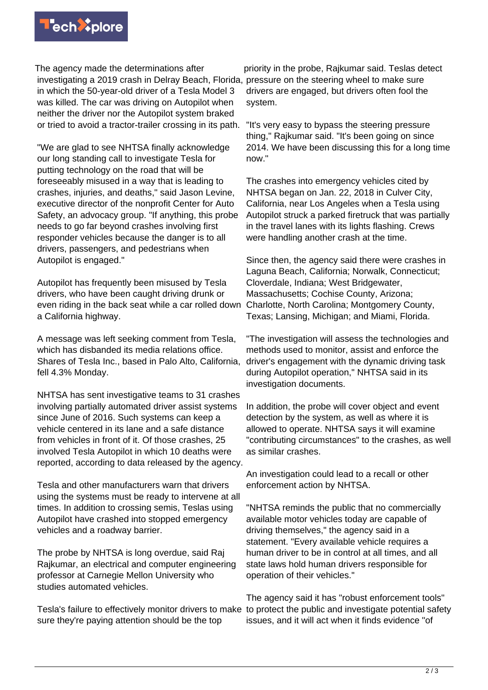

The agency made the determinations after investigating a 2019 crash in Delray Beach, Florida, pressure on the steering wheel to make sure in which the 50-year-old driver of a Tesla Model 3 was killed. The car was driving on Autopilot when neither the driver nor the Autopilot system braked or tried to avoid a tractor-trailer crossing in its path.

"We are glad to see NHTSA finally acknowledge our long standing call to investigate Tesla for putting technology on the road that will be foreseeably misused in a way that is leading to crashes, injuries, and deaths," said Jason Levine, executive director of the nonprofit Center for Auto Safety, an advocacy group. "If anything, this probe needs to go far beyond crashes involving first responder vehicles because the danger is to all drivers, passengers, and pedestrians when Autopilot is engaged."

Autopilot has frequently been misused by Tesla drivers, who have been caught driving drunk or even riding in the back seat while a car rolled down a California highway.

A message was left seeking comment from Tesla, which has disbanded its media relations office. Shares of Tesla Inc., based in Palo Alto, California, fell 4.3% Monday.

NHTSA has sent investigative teams to 31 crashes involving partially automated driver assist systems since June of 2016. Such systems can keep a vehicle centered in its lane and a safe distance from vehicles in front of it. Of those crashes, 25 involved Tesla Autopilot in which 10 deaths were reported, according to data released by the agency.

Tesla and other manufacturers warn that drivers using the systems must be ready to intervene at all times. In addition to crossing semis, Teslas using Autopilot have crashed into stopped emergency vehicles and a roadway barrier.

The probe by NHTSA is long overdue, said Raj Rajkumar, an electrical and computer engineering professor at Carnegie Mellon University who studies automated vehicles.

Tesla's failure to effectively monitor drivers to make sure they're paying attention should be the top

priority in the probe, Rajkumar said. Teslas detect drivers are engaged, but drivers often fool the system.

"It's very easy to bypass the steering pressure thing," Rajkumar said. "It's been going on since 2014. We have been discussing this for a long time now."

The crashes into emergency vehicles cited by NHTSA began on Jan. 22, 2018 in Culver City, California, near Los Angeles when a Tesla using Autopilot struck a parked firetruck that was partially in the travel lanes with its lights flashing. Crews were handling another crash at the time.

Since then, the agency said there were crashes in Laguna Beach, California; Norwalk, Connecticut; Cloverdale, Indiana; West Bridgewater, Massachusetts; Cochise County, Arizona; Charlotte, North Carolina; Montgomery County, Texas; Lansing, Michigan; and Miami, Florida.

"The investigation will assess the technologies and methods used to monitor, assist and enforce the driver's engagement with the dynamic driving task during Autopilot operation," NHTSA said in its investigation documents.

In addition, the probe will cover object and event detection by the system, as well as where it is allowed to operate. NHTSA says it will examine "contributing circumstances" to the crashes, as well as similar crashes.

An investigation could lead to a recall or other enforcement action by NHTSA.

"NHTSA reminds the public that no commercially available motor vehicles today are capable of driving themselves," the agency said in a statement. "Every available vehicle requires a human driver to be in control at all times, and all state laws hold human drivers responsible for operation of their vehicles."

The agency said it has "robust enforcement tools" to protect the public and investigate potential safety issues, and it will act when it finds evidence "of